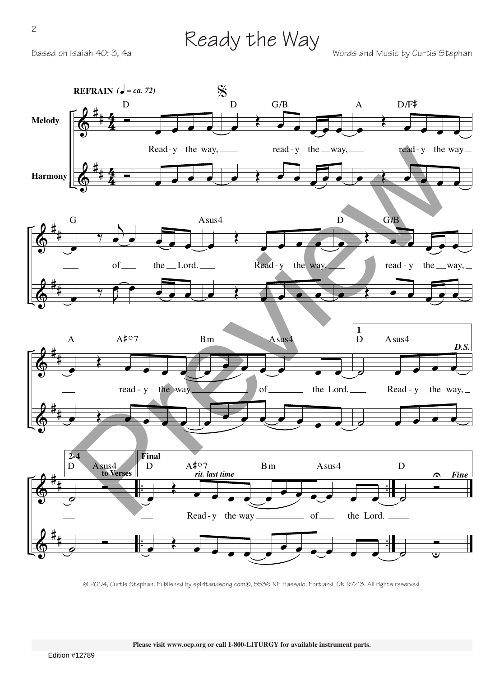## $Ready$  the Way Words and Music by Curtis Stephan Based on Isaiah 40: 3, 4a



© 2004, Curtis Stephan. Published by spiritandsong.com®, 5536 NE Hassalo, Portland, OR 97213. All rights reserved.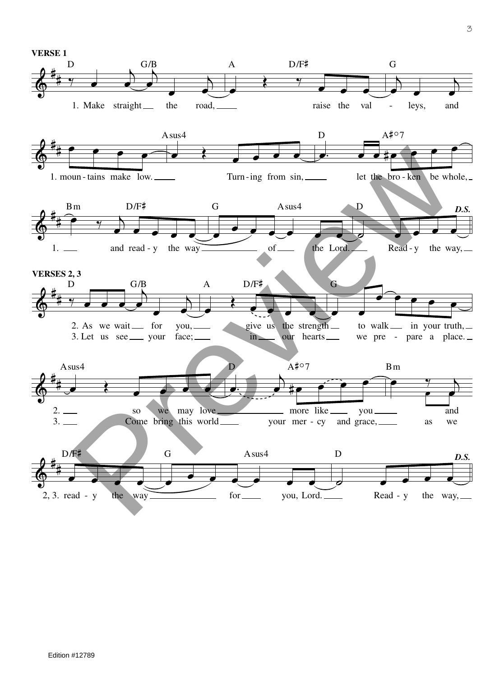